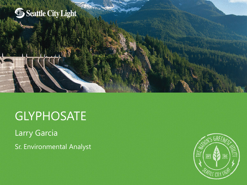

# GLYPHOSATE

Larry Garcia

Sr. Environmental Analyst

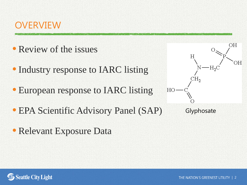

- Review of the issues
- Industry response to IARC listing
- European response to IARC listing
- EPA Scientific Advisory Panel (SAP)
- Relevant Exposure Data



**Glyphosate** 

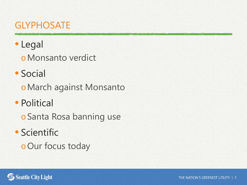# **GLYPHOSATE**

# • Legal oMonsanto verdict

- Social
	- oMarch against Monsanto
- Political
	- oSanta Rosa banning use
- Scientific oOur focus today

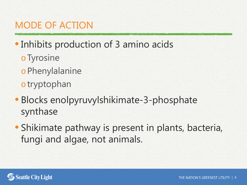- Inhibits production of 3 amino acids
	- oTyrosine
	- oPhenylalanine
	- otryptophan
- Blocks enolpyruvylshikimate-3-phosphate synthase
- Shikimate pathway is present in plants, bacteria, fungi and algae, not animals.

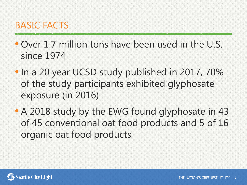- Over 1.7 million tons have been used in the U.S. since 1974
- In a 20 year UCSD study published in 2017, 70% of the study participants exhibited glyphosate exposure (in 2016)
- A 2018 study by the EWG found glyphosate in 43 of 45 conventional oat food products and 5 of 16 organic oat food products

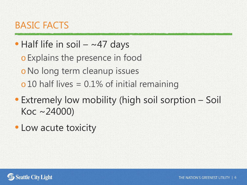# BASIC FACTS

# $\bullet$  Half life in soil – ~47 days

oExplains the presence in food

oNo long term cleanup issues

 $\sim$  10 half lives = 0.1% of initial remaining

- Extremely low mobility (high soil sorption Soil Koc ~24000)
- Low acute toxicity

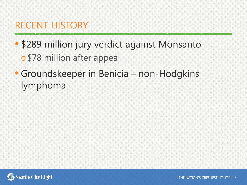## RECENT HISTORY

# • \$289 million jury verdict against Monsanto o \$78 million after appeal

# • Groundskeeper in Benicia – non-Hodgkins lymphoma

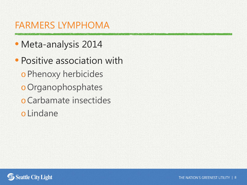### FARMERS LYMPHOMA

- Meta-analysis 2014
- Positive association with oPhenoxy herbicides oOrganophosphates oCarbamate insectides oLindane

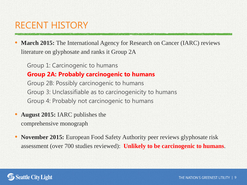# RECENT HISTORY

**March 2015:** The International Agency for Research on Cancer (IARC) reviews literature on glyphosate and ranks it Group 2A

Group 1: Carcinogenic to humans **Group 2A: Probably carcinogenic to humans** Group 2B: Possibly carcinogenic to humans Group 3: Unclassifiable as to carcinogenicity to humans Group 4: Probably not carcinogenic to humans

- **August 2015:** IARC publishes the comprehensive monograph
- **November 2015:** European Food Safety Authority peer reviews glyphosate risk assessment (over 700 studies reviewed): **Unlikely to be carcinogenic to humans**.

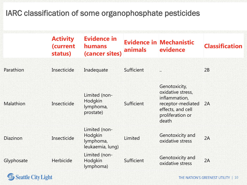#### IARC classification of some organophosphate pesticides

|                  | <b>Activity</b><br>(current<br>status) | <b>Evidence in</b><br><b>humans</b><br>(cancer sites)     | <b>animals</b> | <b>Evidence in Mechanistic</b><br>evidence                                                                                 | <b>Classification</b> |
|------------------|----------------------------------------|-----------------------------------------------------------|----------------|----------------------------------------------------------------------------------------------------------------------------|-----------------------|
| Parathion        | Insecticide                            | Inadequate                                                | Sufficient     | $\dddot{\bullet}$                                                                                                          | 2B                    |
| <b>Malathion</b> | Insecticide                            | Limited (non-<br>Hodgkin<br>lymphoma,<br>prostate)        | Sufficient     | Genotoxicity,<br>oxidative stress,<br>inflammation,<br>receptor-mediated<br>effects, and cell<br>proliferation or<br>death | 2A                    |
| <b>Diazinon</b>  | Insecticide                            | Limited (non-<br>Hodgkin<br>lymphoma,<br>leukaemia, lung) | Limited        | Genotoxicity and<br>oxidative stress                                                                                       | 2A                    |
| Glyphosate       | Herbicide                              | Limited (non-<br>Hodgkin<br>lymphoma)                     | Sufficient     | Genotoxicity and<br>oxidative stress                                                                                       | 2A                    |

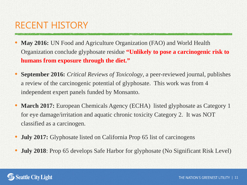# RECENT HISTORY

- **May 2016:** UN Food and Agriculture Organization (FAO) and World Health Organization conclude glyphosate residue **"Unlikely to pose a carcinogenic risk to humans from exposure through the diet."**
- **September 2016:** *Critical Reviews of Toxicology*, a peer-reviewed journal, publishes a review of the carcinogenic potential of glyphosate. This work was from 4 independent expert panels funded by Monsanto.
- **March 2017:** European Chemicals Agency (ECHA) listed glyphosate as Category 1 for eye damage/irritation and aquatic chronic toxicity Category 2. It was NOT classified as a carcinogen.
- **July 2017:** Glyphosate listed on California Prop 65 list of carcinogens
- **July 2018**: Prop 65 develops Safe Harbor for glyphosate (No Significant Risk Level)

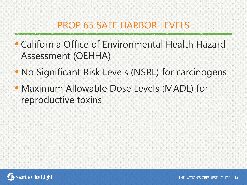## PROP 65 SAFE HARBOR LEVELS

- California Office of Environmental Health Hazard Assessment (OEHHA)
- No Significant Risk Levels (NSRL) for carcinogens
- Maximum Allowable Dose Levels (MADL) for reproductive toxins

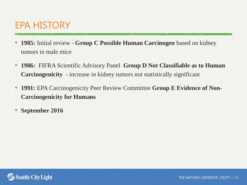## EPA HISTORY

- **1985:** Initial review **Group C Possible Human Carcinogen** based on kidney tumors in male mice
- **1986:** FIFRA Scientific Advisory Panel **Group D Not Classifiable as to Human Carcinogenicity** - increase in kidney tumors not statistically significant
- **1991:** EPA Carcinogenicity Peer Review Committee **Group E Evidence of Non-Carcinogenicity for Humans**
- **September 2016**

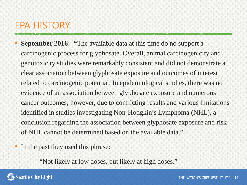# EPA HISTORY

- **September 2016: "The available data at this time do no support a** carcinogenic process for glyphosate. Overall, animal carcinogenicity and genotoxicity studies were remarkably consistent and did not demonstrate a clear association between glyphosate exposure and outcomes of interest related to carcinogenic potential. In epidemiological studies, there was no evidence of an association between glyphosate exposure and numerous cancer outcomes; however, due to conflicting results and various limitations identified in studies investigating Non-Hodgkin's Lymphoma (NHL), a conclusion regarding the association between glyphosate exposure and risk of NHL cannot be determined based on the available data."
- In the past they used this phrase:

"Not likely at low doses, but likely at high doses."

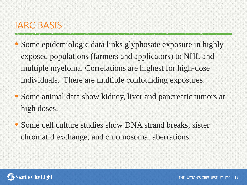#### IARC BASIS

- Some epidemiologic data links glyphosate exposure in highly exposed populations (farmers and applicators) to NHL and multiple myeloma. Correlations are highest for high-dose individuals. There are multiple confounding exposures.
- Some animal data show kidney, liver and pancreatic tumors at high doses.
- Some cell culture studies show DNA strand breaks, sister chromatid exchange, and chromosomal aberrations.

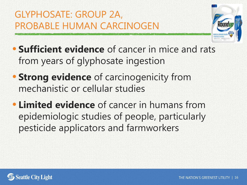# GLYPHOSATE: GROUP 2A, PROBABLE HUMAN CARCINOGEN



- **Sufficient evidence** of cancer in mice and rats from years of glyphosate ingestion
- **Strong evidence** of carcinogenicity from mechanistic or cellular studies
- **Limited evidence** of cancer in humans from epidemiologic studies of people, particularly pesticide applicators and farmworkers

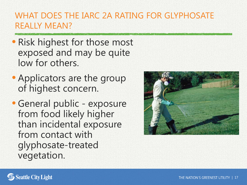#### WHAT DOES THE IARC 2A RATING FOR GLYPHOSATE REALLY MEAN?

- Risk highest for those most exposed and may be quite low for others.
- Applicators are the group of highest concern.
- General public exposure from food likely higher than incidental exposure from contact with glyphosate-treated vegetation.



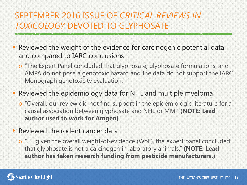#### SEPTEMBER 2016 ISSUE OF *CRITICAL REVIEWS IN TOXICOLOGY* DEVOTED TO GLYPHOSATE

Reviewed the weight of the evidence for carcinogenic potential data and compared to IARC conclusions

o "The Expert Panel concluded that glyphosate, glyphosate formulations, and AMPA do not pose a genotoxic hazard and the data do not support the IARC Monograph genotoxicity evaluation."

#### • Reviewed the epidemiology data for NHL and multiple myeloma

o "Overall, our review did not find support in the epidemiologic literature for a causal association between glyphosate and NHL or MM." **(NOTE: Lead author used to work for Amgen)**

#### • Reviewed the rodent cancer data

o ". . . given the overall weight-of-evidence (WoE), the expert panel concluded that glyphosate is not a carcinogen in laboratory animals." **(NOTE: Lead author has taken research funding from pesticide manufacturers.)**

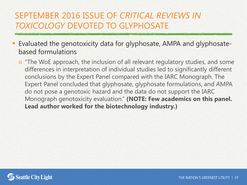#### SEPTEMBER 2016 ISSUE OF *CRITICAL REVIEWS IN TOXICOLOGY* DEVOTED TO GLYPHOSATE

- Evaluated the genotoxicity data for glyphosate, AMPA and glyphosatebased formulations
	- o "The WoE approach, the inclusion of all relevant regulatory studies, and some differences in interpretation of individual studies led to significantly different conclusions by the Expert Panel compared with the IARC Monograph. The Expert Panel concluded that glyphosate, glyphosate formulations, and AMPA do not pose a genotoxic hazard and the data do not support the IARC Monograph genotoxicity evaluation." **(NOTE: Few academics on this panel. Lead author worked for the biotechnology industry.)**

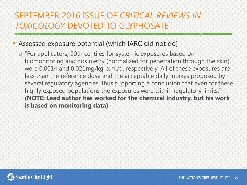#### SEPTEMBER 2016 ISSUE OF *CRITICAL REVIEWS IN TOXICOLOGY* DEVOTED TO GLYPHOSATE

#### • Assessed exposure potential (which IARC did not do)

o "For applicators, 90th centiles for systemic exposures based on biomonitoring and dosimetry (normalized for penetration through the skin) were 0.0014 and 0.021mg/kg b.m./d, respectively. All of these exposures are less than the reference dose and the acceptable daily intakes proposed by several regulatory agencies, thus supporting a conclusion that even for these highly exposed populations the exposures were within regulatory limits." **(NOTE: Lead author has worked for the chemical industry, but his work is based on monitoring data)**

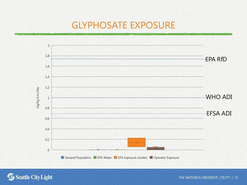#### GLYPHOSATE EXPOSURE





THE NATION'S GREENEST UTILITY | 21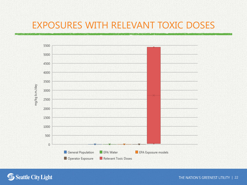#### EXPOSURES WITH RELEVANT TOXIC DOSES





THE NATION'S GREENEST UTILITY | 22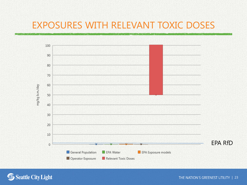#### EXPOSURES WITH RELEVANT TOXIC DOSES





THE NATION'S GREENEST UTILITY | 23